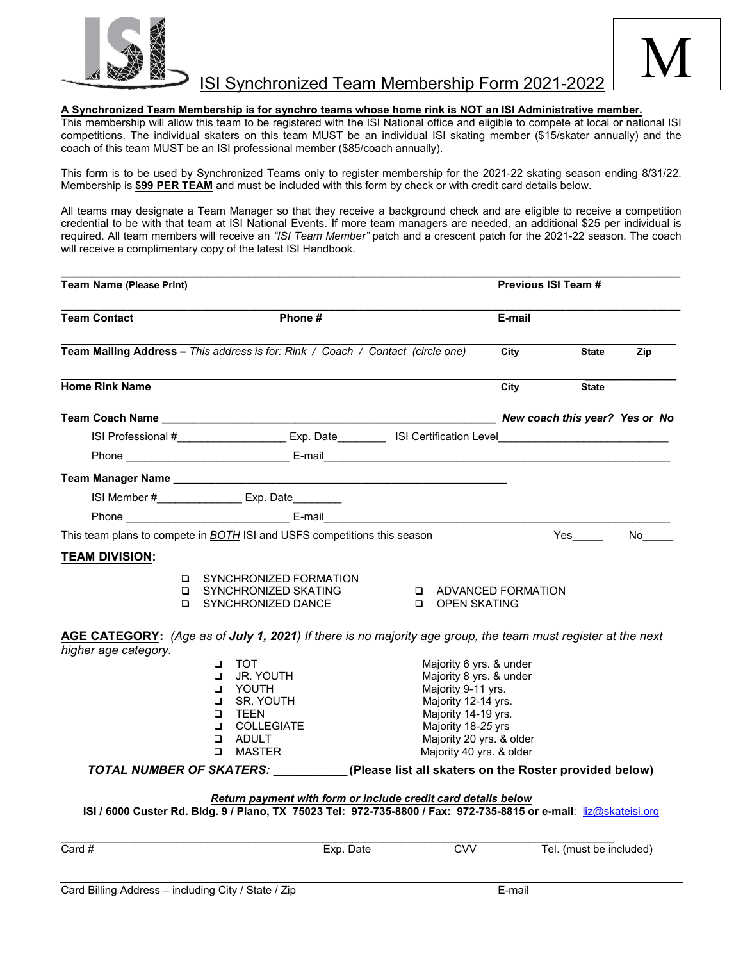



## **A Synchronized Team Membership is for synchro teams whose home rink is NOT an ISI Administrative member.**

This membership will allow this team to be registered with the ISI National office and eligible to compete at local or national ISI competitions. The individual skaters on this team MUST be an individual ISI skating member (\$15/skater annually) and the coach of this team MUST be an ISI professional member (\$85/coach annually).

This form is to be used by Synchronized Teams only to register membership for the 2021-22 skating season ending 8/31/22. Membership is **\$99 PER TEAM** and must be included with this form by check or with credit card details below.

All teams may designate a Team Manager so that they receive a background check and are eligible to receive a competition credential to be with that team at ISI National Events. If more team managers are needed, an additional \$25 per individual is required. All team members will receive an *"ISI Team Member"* patch and a crescent patch for the 2021-22 season. The coach will receive a complimentary copy of the latest ISI Handbook.

| <b>Team Name (Please Print)</b>                                                                                                      |                                                                                                                                  |           |                                                                                                                                                                                                      |        | <b>Previous ISI Team #</b> |     |
|--------------------------------------------------------------------------------------------------------------------------------------|----------------------------------------------------------------------------------------------------------------------------------|-----------|------------------------------------------------------------------------------------------------------------------------------------------------------------------------------------------------------|--------|----------------------------|-----|
| <b>Team Contact</b>                                                                                                                  | Phone #                                                                                                                          |           |                                                                                                                                                                                                      | E-mail |                            |     |
| Team Mailing Address - This address is for: Rink / Coach / Contact (circle one)                                                      |                                                                                                                                  |           |                                                                                                                                                                                                      | City   | <b>State</b>               | Zip |
| <b>Home Rink Name</b>                                                                                                                |                                                                                                                                  |           |                                                                                                                                                                                                      | City   | <b>State</b>               |     |
|                                                                                                                                      |                                                                                                                                  |           |                                                                                                                                                                                                      |        |                            |     |
|                                                                                                                                      |                                                                                                                                  |           | ISI Professional #______________________Exp. Date___________ISI Certification Level__________________________                                                                                        |        |                            |     |
|                                                                                                                                      |                                                                                                                                  |           |                                                                                                                                                                                                      |        |                            |     |
|                                                                                                                                      | ISI Member #___________________ Exp. Date_________                                                                               |           |                                                                                                                                                                                                      |        |                            |     |
|                                                                                                                                      |                                                                                                                                  |           |                                                                                                                                                                                                      |        |                            |     |
| This team plans to compete in <b>BOTH</b> ISI and USFS competitions this season                                                      |                                                                                                                                  |           |                                                                                                                                                                                                      |        |                            |     |
| <b>TEAM DIVISION:</b>                                                                                                                |                                                                                                                                  |           |                                                                                                                                                                                                      |        |                            |     |
|                                                                                                                                      | □ SYNCHRONIZED FORMATION<br><b>Q SYNCHRONIZED SKATING</b><br><b>Q SYNCHRONIZED DANCE</b>                                         |           | <b>Q ADVANCED FORMATION</b><br>OPEN SKATING                                                                                                                                                          |        |                            |     |
| AGE CATEGORY: (Age as of July 1, 2021) If there is no majority age group, the team must register at the next<br>higher age category. | $\Box$ TOT<br>U JR. YOUTH<br>O YOUTH<br><b>D</b> SR. YOUTH<br><b>Q</b> TEEN<br><b>Q COLLEGIATE</b><br><b>Q</b> ADULT<br>□ MASTER |           | Majority 6 yrs. & under<br>Majority 8 yrs. & under<br>Majority 9-11 yrs.<br>Majority 12-14 yrs.<br>Majority 14-19 yrs.<br>Majority 18-25 yrs<br>Majority 20 yrs. & older<br>Majority 40 yrs. & older |        |                            |     |
|                                                                                                                                      |                                                                                                                                  |           | TOTAL NUMBER OF SKATERS: (Please list all skaters on the Roster provided below)                                                                                                                      |        |                            |     |
|                                                                                                                                      |                                                                                                                                  |           | Return payment with form or include credit card details below<br>ISI / 6000 Custer Rd. Bldg. 9 / Plano, TX 75023 Tel: 972-735-8800 / Fax: 972-735-8815 or e-mail: liz@skateisi.org                   |        |                            |     |
| Card $#$                                                                                                                             |                                                                                                                                  | Exp. Date | <b>CVV</b>                                                                                                                                                                                           |        | Tel. (must be included)    |     |
| Card Billing Address - including City / State / Zip                                                                                  |                                                                                                                                  |           |                                                                                                                                                                                                      | E-mail |                            |     |